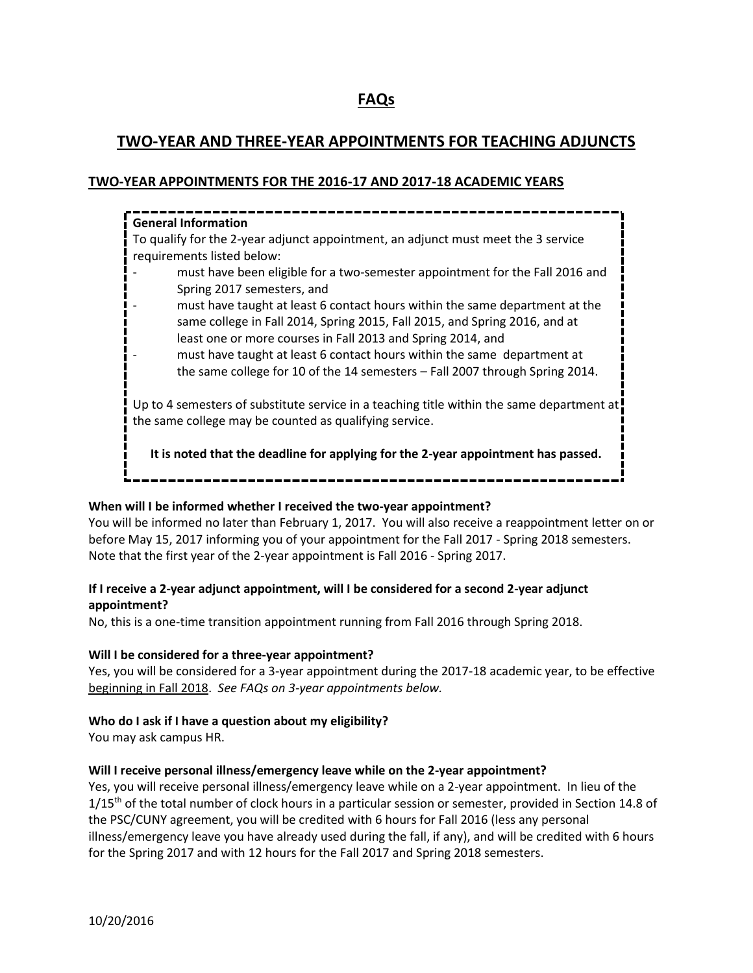# **FAQs**

## **TWO-YEAR AND THREE-YEAR APPOINTMENTS FOR TEACHING ADJUNCTS**

## **TWO-YEAR APPOINTMENTS FOR THE 2016-17 AND 2017-18 ACADEMIC YEARS**



## **When will I be informed whether I received the two-year appointment?**

You will be informed no later than February 1, 2017. You will also receive a reappointment letter on or before May 15, 2017 informing you of your appointment for the Fall 2017 - Spring 2018 semesters. Note that the first year of the 2-year appointment is Fall 2016 - Spring 2017.

## **If I receive a 2-year adjunct appointment, will I be considered for a second 2-year adjunct appointment?**

No, this is a one-time transition appointment running from Fall 2016 through Spring 2018.

## **Will I be considered for a three-year appointment?**

Yes, you will be considered for a 3-year appointment during the 2017-18 academic year, to be effective beginning in Fall 2018. *See FAQs on 3-year appointments below.*

## **Who do I ask if I have a question about my eligibility?**

You may ask campus HR.

## **Will I receive personal illness/emergency leave while on the 2-year appointment?**

Yes, you will receive personal illness/emergency leave while on a 2-year appointment. In lieu of the 1/15<sup>th</sup> of the total number of clock hours in a particular session or semester, provided in Section 14.8 of the PSC/CUNY agreement, you will be credited with 6 hours for Fall 2016 (less any personal illness/emergency leave you have already used during the fall, if any), and will be credited with 6 hours for the Spring 2017 and with 12 hours for the Fall 2017 and Spring 2018 semesters.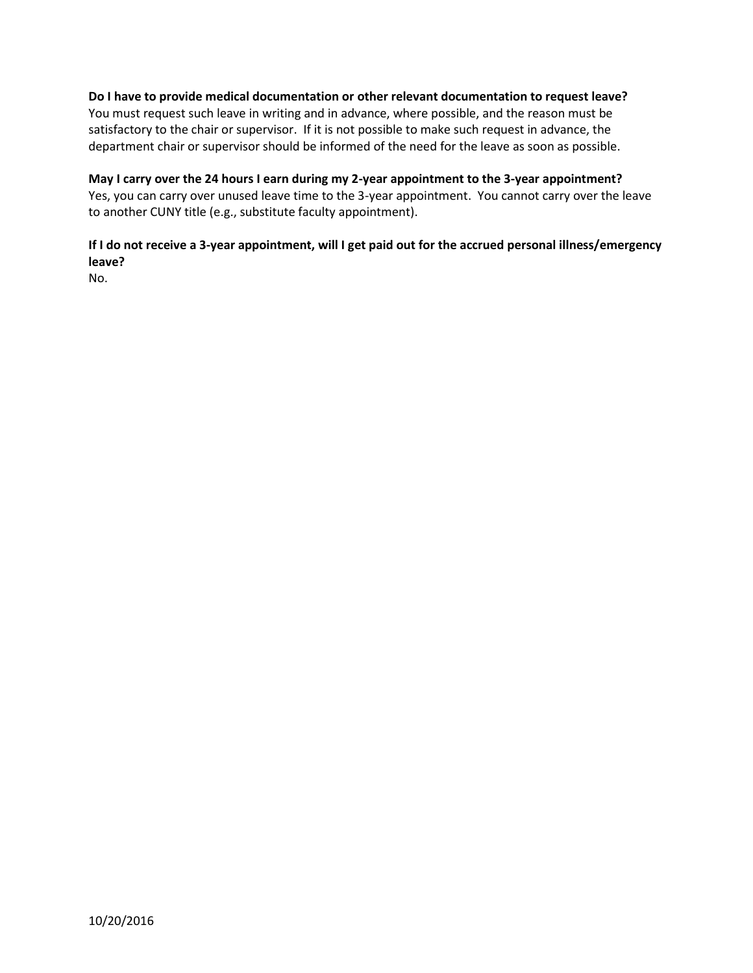## **Do I have to provide medical documentation or other relevant documentation to request leave?**

You must request such leave in writing and in advance, where possible, and the reason must be satisfactory to the chair or supervisor. If it is not possible to make such request in advance, the department chair or supervisor should be informed of the need for the leave as soon as possible.

## **May I carry over the 24 hours I earn during my 2-year appointment to the 3-year appointment?**

Yes, you can carry over unused leave time to the 3-year appointment. You cannot carry over the leave to another CUNY title (e.g., substitute faculty appointment).

## **If I do not receive a 3-year appointment, will I get paid out for the accrued personal illness/emergency leave?**

No.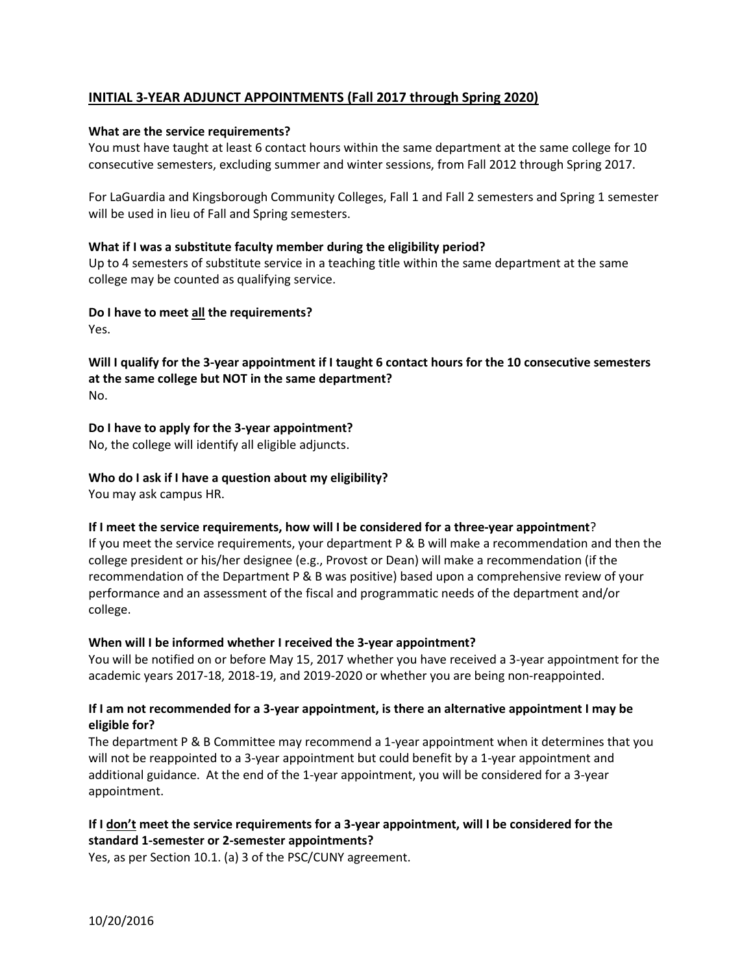## **INITIAL 3-YEAR ADJUNCT APPOINTMENTS (Fall 2017 through Spring 2020)**

## **What are the service requirements?**

You must have taught at least 6 contact hours within the same department at the same college for 10 consecutive semesters, excluding summer and winter sessions, from Fall 2012 through Spring 2017.

For LaGuardia and Kingsborough Community Colleges, Fall 1 and Fall 2 semesters and Spring 1 semester will be used in lieu of Fall and Spring semesters.

#### **What if I was a substitute faculty member during the eligibility period?**

Up to 4 semesters of substitute service in a teaching title within the same department at the same college may be counted as qualifying service.

**Do I have to meet all the requirements?**

Yes.

**Will I qualify for the 3-year appointment if I taught 6 contact hours for the 10 consecutive semesters at the same college but NOT in the same department?** No.

**Do I have to apply for the 3-year appointment?**

No, the college will identify all eligible adjuncts.

## **Who do I ask if I have a question about my eligibility?**

You may ask campus HR.

## **If I meet the service requirements, how will I be considered for a three-year appointment**?

If you meet the service requirements, your department P & B will make a recommendation and then the college president or his/her designee (e.g., Provost or Dean) will make a recommendation (if the recommendation of the Department P & B was positive) based upon a comprehensive review of your performance and an assessment of the fiscal and programmatic needs of the department and/or college.

## **When will I be informed whether I received the 3-year appointment?**

You will be notified on or before May 15, 2017 whether you have received a 3-year appointment for the academic years 2017-18, 2018-19, and 2019-2020 or whether you are being non-reappointed.

## **If I am not recommended for a 3-year appointment, is there an alternative appointment I may be eligible for?**

The department P & B Committee may recommend a 1-year appointment when it determines that you will not be reappointed to a 3-year appointment but could benefit by a 1-year appointment and additional guidance. At the end of the 1-year appointment, you will be considered for a 3-year appointment.

## **If I don't meet the service requirements for a 3-year appointment, will I be considered for the standard 1-semester or 2-semester appointments?**

Yes, as per Section 10.1. (a) 3 of the PSC/CUNY agreement.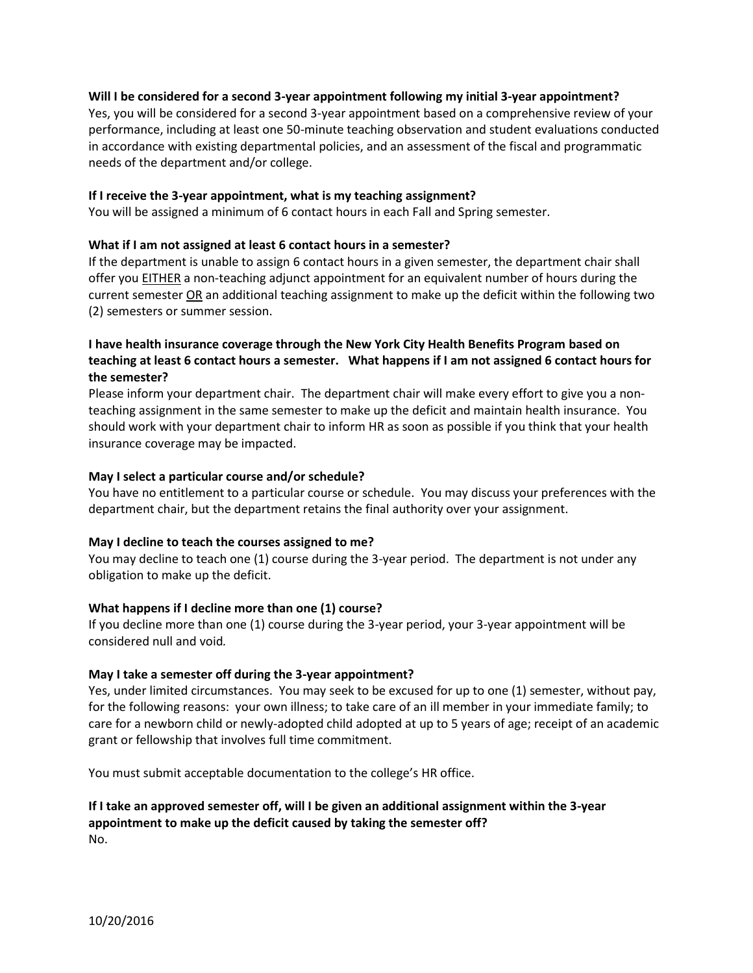#### **Will I be considered for a second 3-year appointment following my initial 3-year appointment?**

Yes, you will be considered for a second 3-year appointment based on a comprehensive review of your performance, including at least one 50-minute teaching observation and student evaluations conducted in accordance with existing departmental policies, and an assessment of the fiscal and programmatic needs of the department and/or college.

#### **If I receive the 3-year appointment, what is my teaching assignment?**

You will be assigned a minimum of 6 contact hours in each Fall and Spring semester.

#### **What if I am not assigned at least 6 contact hours in a semester?**

If the department is unable to assign 6 contact hours in a given semester, the department chair shall offer you EITHER a non-teaching adjunct appointment for an equivalent number of hours during the current semester OR an additional teaching assignment to make up the deficit within the following two (2) semesters or summer session.

## **I have health insurance coverage through the New York City Health Benefits Program based on teaching at least 6 contact hours a semester. What happens if I am not assigned 6 contact hours for the semester?**

Please inform your department chair. The department chair will make every effort to give you a nonteaching assignment in the same semester to make up the deficit and maintain health insurance. You should work with your department chair to inform HR as soon as possible if you think that your health insurance coverage may be impacted.

#### **May I select a particular course and/or schedule?**

You have no entitlement to a particular course or schedule. You may discuss your preferences with the department chair, but the department retains the final authority over your assignment.

#### **May I decline to teach the courses assigned to me?**

You may decline to teach one (1) course during the 3-year period. The department is not under any obligation to make up the deficit.

## **What happens if I decline more than one (1) course?**

If you decline more than one (1) course during the 3-year period, your 3-year appointment will be considered null and void*.* 

#### **May I take a semester off during the 3-year appointment?**

Yes, under limited circumstances. You may seek to be excused for up to one (1) semester, without pay, for the following reasons: your own illness; to take care of an ill member in your immediate family; to care for a newborn child or newly-adopted child adopted at up to 5 years of age; receipt of an academic grant or fellowship that involves full time commitment.

You must submit acceptable documentation to the college's HR office.

## **If I take an approved semester off, will I be given an additional assignment within the 3-year appointment to make up the deficit caused by taking the semester off?** No.